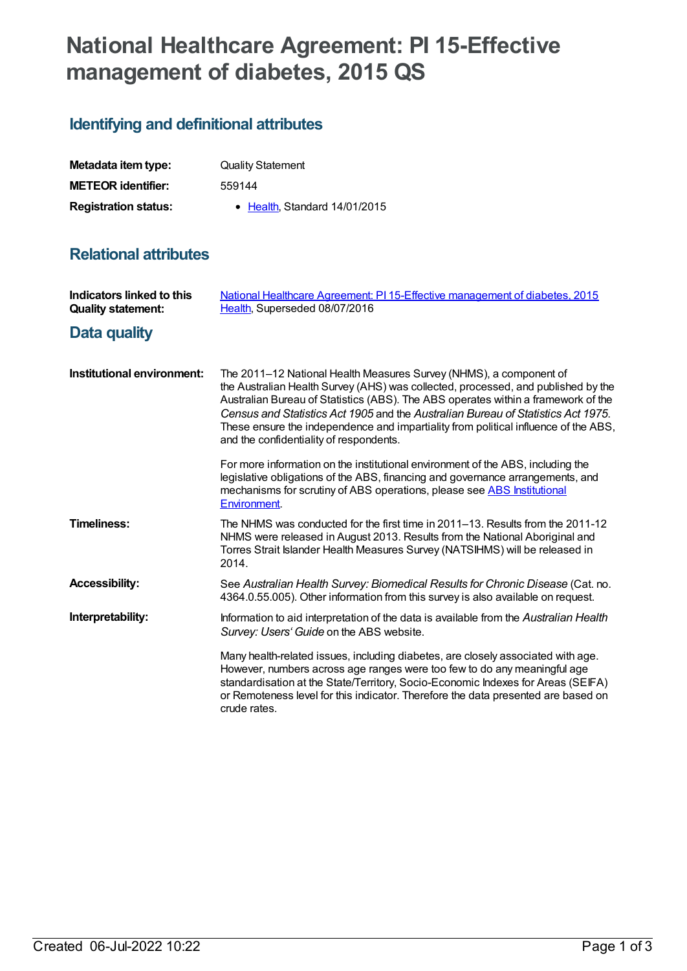## **National Healthcare Agreement: PI 15-Effective management of diabetes, 2015 QS**

## **Identifying and definitional attributes**

| Metadata item type:         | <b>Quality Statement</b>      |
|-----------------------------|-------------------------------|
| <b>METEOR identifier:</b>   | 559144                        |
| <b>Registration status:</b> | • Health, Standard 14/01/2015 |

## **Relational attributes**

| Indicators linked to this<br><b>Quality statement:</b> | National Healthcare Agreement: PI 15-Effective management of diabetes, 2015<br>Health, Superseded 08/07/2016                                                                                                                                                                                                                                                                                                                                                       |
|--------------------------------------------------------|--------------------------------------------------------------------------------------------------------------------------------------------------------------------------------------------------------------------------------------------------------------------------------------------------------------------------------------------------------------------------------------------------------------------------------------------------------------------|
| Data quality                                           |                                                                                                                                                                                                                                                                                                                                                                                                                                                                    |
| Institutional environment:                             | The 2011–12 National Health Measures Survey (NHMS), a component of<br>the Australian Health Survey (AHS) was collected, processed, and published by the<br>Australian Bureau of Statistics (ABS). The ABS operates within a framework of the<br>Census and Statistics Act 1905 and the Australian Bureau of Statistics Act 1975.<br>These ensure the independence and impartiality from political influence of the ABS,<br>and the confidentiality of respondents. |
|                                                        | For more information on the institutional environment of the ABS, including the<br>legislative obligations of the ABS, financing and governance arrangements, and<br>mechanisms for scrutiny of ABS operations, please see ABS Institutional<br>Environment.                                                                                                                                                                                                       |
| <b>Timeliness:</b>                                     | The NHMS was conducted for the first time in 2011–13. Results from the 2011-12<br>NHMS were released in August 2013. Results from the National Aboriginal and<br>Torres Strait Islander Health Measures Survey (NATSIHMS) will be released in<br>2014.                                                                                                                                                                                                             |
| <b>Accessibility:</b>                                  | See Australian Health Survey: Biomedical Results for Chronic Disease (Cat. no.<br>4364.0.55.005). Other information from this survey is also available on request.                                                                                                                                                                                                                                                                                                 |
| Interpretability:                                      | Information to aid interpretation of the data is available from the Australian Health<br>Survey: Users' Guide on the ABS website.                                                                                                                                                                                                                                                                                                                                  |
|                                                        | Many health-related issues, including diabetes, are closely associated with age.<br>However, numbers across age ranges were too few to do any meaningful age<br>standardisation at the State/Territory, Socio-Economic Indexes for Areas (SEIFA)<br>or Remoteness level for this indicator. Therefore the data presented are based on<br>crude rates.                                                                                                              |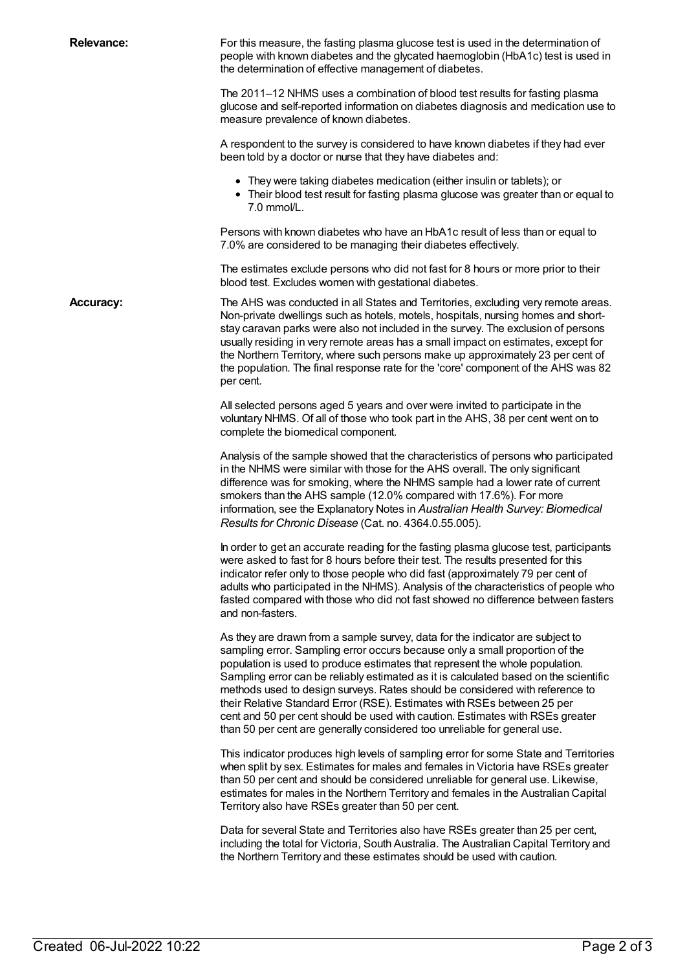| <b>Relevance:</b> | For this measure, the fasting plasma glucose test is used in the determination of<br>people with known diabetes and the glycated haemoglobin (HbA1c) test is used in<br>the determination of effective management of diabetes.                                                                                                                                                                                                                                                                                                                                                                                                                                 |
|-------------------|----------------------------------------------------------------------------------------------------------------------------------------------------------------------------------------------------------------------------------------------------------------------------------------------------------------------------------------------------------------------------------------------------------------------------------------------------------------------------------------------------------------------------------------------------------------------------------------------------------------------------------------------------------------|
|                   | The 2011-12 NHMS uses a combination of blood test results for fasting plasma<br>glucose and self-reported information on diabetes diagnosis and medication use to<br>measure prevalence of known diabetes.                                                                                                                                                                                                                                                                                                                                                                                                                                                     |
|                   | A respondent to the survey is considered to have known diabetes if they had ever<br>been told by a doctor or nurse that they have diabetes and:                                                                                                                                                                                                                                                                                                                                                                                                                                                                                                                |
|                   | • They were taking diabetes medication (either insulin or tablets); or<br>• Their blood test result for fasting plasma glucose was greater than or equal to<br>7.0 mmol/L.                                                                                                                                                                                                                                                                                                                                                                                                                                                                                     |
|                   | Persons with known diabetes who have an HbA1c result of less than or equal to<br>7.0% are considered to be managing their diabetes effectively.                                                                                                                                                                                                                                                                                                                                                                                                                                                                                                                |
|                   | The estimates exclude persons who did not fast for 8 hours or more prior to their<br>blood test. Excludes women with gestational diabetes.                                                                                                                                                                                                                                                                                                                                                                                                                                                                                                                     |
| <b>Accuracy:</b>  | The AHS was conducted in all States and Territories, excluding very remote areas.<br>Non-private dwellings such as hotels, motels, hospitals, nursing homes and short-<br>stay caravan parks were also not included in the survey. The exclusion of persons<br>usually residing in very remote areas has a small impact on estimates, except for<br>the Northern Territory, where such persons make up approximately 23 per cent of<br>the population. The final response rate for the 'core' component of the AHS was 82<br>per cent.                                                                                                                         |
|                   | All selected persons aged 5 years and over were invited to participate in the<br>voluntary NHMS. Of all of those who took part in the AHS, 38 per cent went on to<br>complete the biomedical component.                                                                                                                                                                                                                                                                                                                                                                                                                                                        |
|                   | Analysis of the sample showed that the characteristics of persons who participated<br>in the NHMS were similar with those for the AHS overall. The only significant<br>difference was for smoking, where the NHMS sample had a lower rate of current<br>smokers than the AHS sample (12.0% compared with 17.6%). For more<br>information, see the Explanatory Notes in Australian Health Survey: Biomedical<br>Results for Chronic Disease (Cat. no. 4364.0.55.005).                                                                                                                                                                                           |
|                   | In order to get an accurate reading for the fasting plasma glucose test, participants<br>were asked to fast for 8 hours before their test. The results presented for this<br>indicator refer only to those people who did fast (approximately 79 per cent of<br>adults who participated in the NHMS). Analysis of the characteristics of people who<br>fasted compared with those who did not fast showed no difference between fasters<br>and non-fasters.                                                                                                                                                                                                    |
|                   | As they are drawn from a sample survey, data for the indicator are subject to<br>sampling error. Sampling error occurs because only a small proportion of the<br>population is used to produce estimates that represent the whole population.<br>Sampling error can be reliably estimated as it is calculated based on the scientific<br>methods used to design surveys. Rates should be considered with reference to<br>their Relative Standard Error (RSE). Estimates with RSEs between 25 per<br>cent and 50 per cent should be used with caution. Estimates with RSEs greater<br>than 50 per cent are generally considered too unreliable for general use. |
|                   | This indicator produces high levels of sampling error for some State and Territories<br>when split by sex. Estimates for males and females in Victoria have RSEs greater<br>than 50 per cent and should be considered unreliable for general use. Likewise,<br>estimates for males in the Northern Territory and females in the Australian Capital<br>Territory also have RSEs greater than 50 per cent.                                                                                                                                                                                                                                                       |
|                   | Data for several State and Territories also have RSEs greater than 25 per cent,<br>including the total for Victoria, South Australia. The Australian Capital Territory and<br>the Northern Territory and these estimates should be used with caution.                                                                                                                                                                                                                                                                                                                                                                                                          |